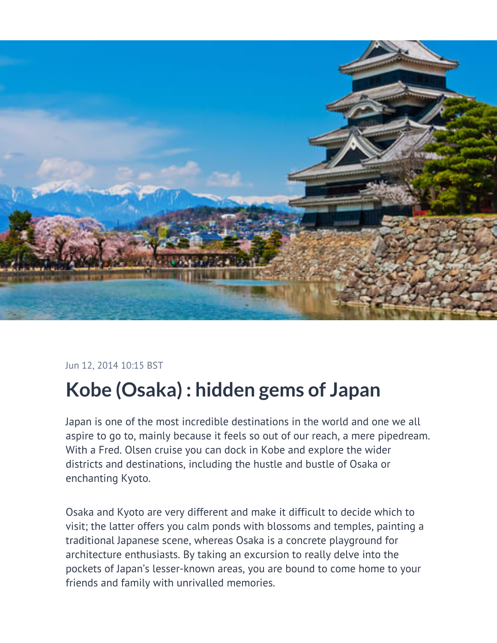

## Jun 12, 2014 10:15 BST

## **Kobe (Osaka) : hidden gems of Japan**

Japan is one of the most incredible destinations in the world and one we all aspire to go to, mainly because it feels so out of our reach, a mere pipedream. With a Fred. Olsen cruise you can dock in Kobe and explore the wider districts and destinations, including the hustle and bustle of Osaka or enchanting Kyoto.

Osaka and Kyoto are very different and make it difficult to decide which to visit; the latter offers you calm ponds with blossoms and temples, painting a traditional Japanese scene, whereas Osaka is a concrete playground for architecture enthusiasts. By taking an excursion to really delve into the pockets of Japan's lesser-known areas, you are bound to come home to your friends and family with unrivalled memories.